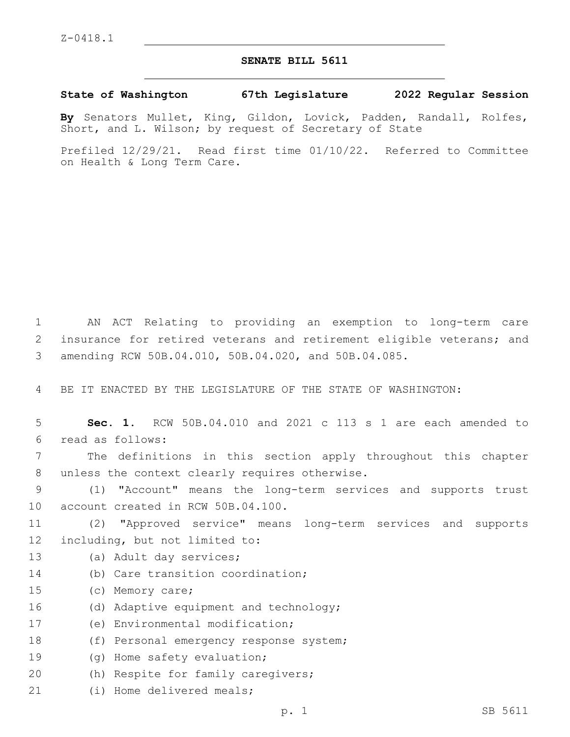## **SENATE BILL 5611**

**State of Washington 67th Legislature 2022 Regular Session**

**By** Senators Mullet, King, Gildon, Lovick, Padden, Randall, Rolfes, Short, and L. Wilson; by request of Secretary of State

Prefiled 12/29/21. Read first time 01/10/22. Referred to Committee on Health & Long Term Care.

1 AN ACT Relating to providing an exemption to long-term care 2 insurance for retired veterans and retirement eligible veterans; and 3 amending RCW 50B.04.010, 50B.04.020, and 50B.04.085.

4 BE IT ENACTED BY THE LEGISLATURE OF THE STATE OF WASHINGTON:

5 **Sec. 1.** RCW 50B.04.010 and 2021 c 113 s 1 are each amended to read as follows:6

7 The definitions in this section apply throughout this chapter 8 unless the context clearly requires otherwise.

9 (1) "Account" means the long-term services and supports trust 10 account created in RCW 50B.04.100.

11 (2) "Approved service" means long-term services and supports 12 including, but not limited to:

- 13 (a) Adult day services;
- 14 (b) Care transition coordination;
- 15 (c) Memory care;
- 16 (d) Adaptive equipment and technology;

17 (e) Environmental modification;

18 (f) Personal emergency response system;

- 19 (g) Home safety evaluation;
- 20 (h) Respite for family caregivers;
- 21 (i) Home delivered meals;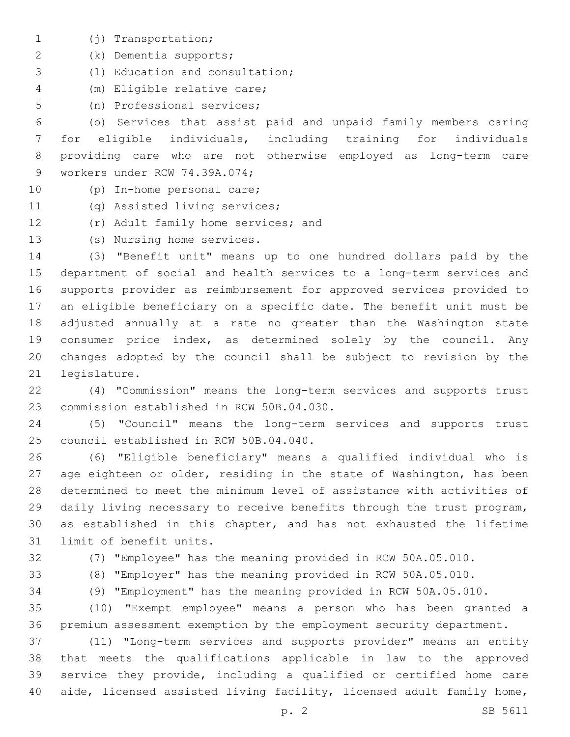- (j) Transportation;1
- (k) Dementia supports;2
- (l) Education and consultation;3
- (m) Eligible relative care;4
- 5 (n) Professional services;

 (o) Services that assist paid and unpaid family members caring for eligible individuals, including training for individuals providing care who are not otherwise employed as long-term care 9 workers under RCW 74.39A.074;

- 10 (p) In-home personal care;
- 11 (q) Assisted living services;
- 12 (r) Adult family home services; and
- 13 (s) Nursing home services.

 (3) "Benefit unit" means up to one hundred dollars paid by the department of social and health services to a long-term services and supports provider as reimbursement for approved services provided to an eligible beneficiary on a specific date. The benefit unit must be adjusted annually at a rate no greater than the Washington state consumer price index, as determined solely by the council. Any changes adopted by the council shall be subject to revision by the 21 legislature.

 (4) "Commission" means the long-term services and supports trust 23 commission established in RCW 50B.04.030.

 (5) "Council" means the long-term services and supports trust 25 council established in RCW 50B.04.040.

 (6) "Eligible beneficiary" means a qualified individual who is age eighteen or older, residing in the state of Washington, has been determined to meet the minimum level of assistance with activities of daily living necessary to receive benefits through the trust program, as established in this chapter, and has not exhausted the lifetime 31 limit of benefit units.

(7) "Employee" has the meaning provided in RCW 50A.05.010.

- (8) "Employer" has the meaning provided in RCW 50A.05.010.
- (9) "Employment" has the meaning provided in RCW 50A.05.010.

 (10) "Exempt employee" means a person who has been granted a premium assessment exemption by the employment security department.

 (11) "Long-term services and supports provider" means an entity that meets the qualifications applicable in law to the approved service they provide, including a qualified or certified home care aide, licensed assisted living facility, licensed adult family home,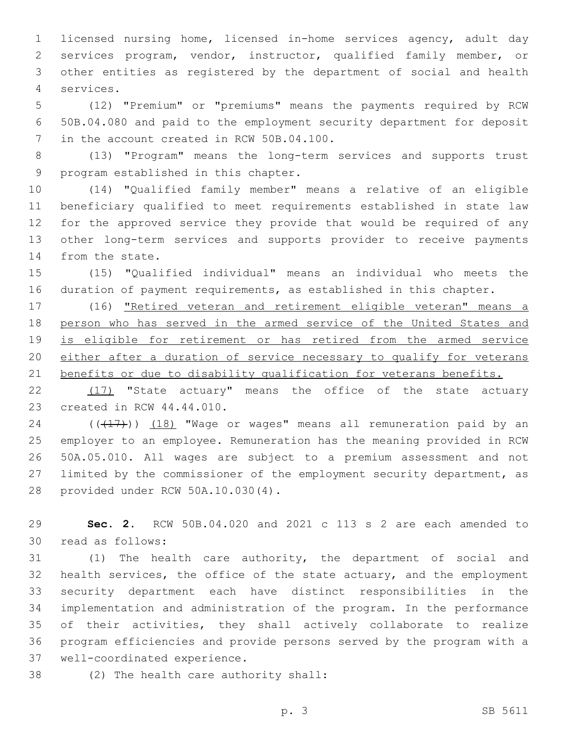licensed nursing home, licensed in-home services agency, adult day services program, vendor, instructor, qualified family member, or other entities as registered by the department of social and health services.4

 (12) "Premium" or "premiums" means the payments required by RCW 50B.04.080 and paid to the employment security department for deposit 7 in the account created in RCW 50B.04.100.

 (13) "Program" means the long-term services and supports trust 9 program established in this chapter.

 (14) "Qualified family member" means a relative of an eligible beneficiary qualified to meet requirements established in state law for the approved service they provide that would be required of any other long-term services and supports provider to receive payments 14 from the state.

 (15) "Qualified individual" means an individual who meets the duration of payment requirements, as established in this chapter.

 (16) "Retired veteran and retirement eligible veteran" means a person who has served in the armed service of the United States and is eligible for retirement or has retired from the armed service either after a duration of service necessary to qualify for veterans 21 benefits or due to disability qualification for veterans benefits.

22 (17) "State actuary" means the office of the state actuary 23 created in RCW 44.44.010.

 ( $(\overline{+17})$ )  $(18)$  "Wage or wages" means all remuneration paid by an employer to an employee. Remuneration has the meaning provided in RCW 50A.05.010. All wages are subject to a premium assessment and not 27 limited by the commissioner of the employment security department, as 28 provided under RCW 50A.10.030(4).

 **Sec. 2.** RCW 50B.04.020 and 2021 c 113 s 2 are each amended to 30 read as follows:

 (1) The health care authority, the department of social and health services, the office of the state actuary, and the employment security department each have distinct responsibilities in the implementation and administration of the program. In the performance of their activities, they shall actively collaborate to realize program efficiencies and provide persons served by the program with a 37 well-coordinated experience.

38 (2) The health care authority shall: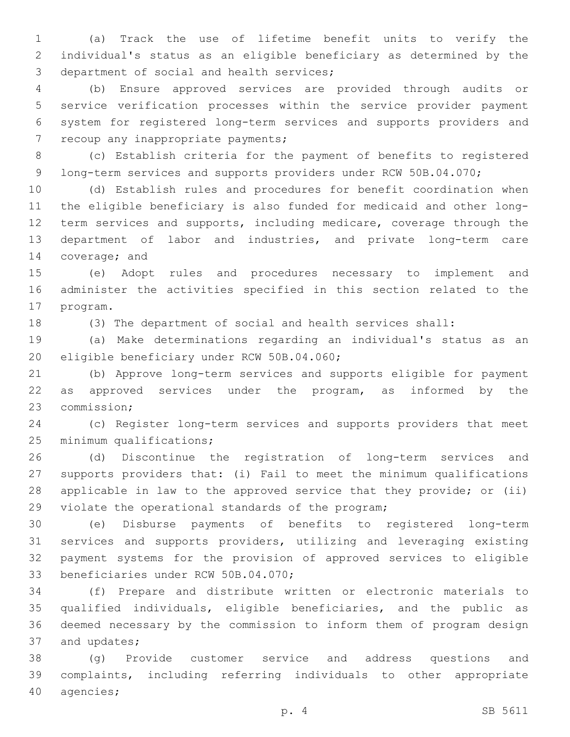(a) Track the use of lifetime benefit units to verify the individual's status as an eligible beneficiary as determined by the 3 department of social and health services;

 (b) Ensure approved services are provided through audits or service verification processes within the service provider payment system for registered long-term services and supports providers and 7 recoup any inappropriate payments;

 (c) Establish criteria for the payment of benefits to registered 9 long-term services and supports providers under RCW 50B.04.070;

 (d) Establish rules and procedures for benefit coordination when the eligible beneficiary is also funded for medicaid and other long-12 term services and supports, including medicare, coverage through the department of labor and industries, and private long-term care 14 coverage; and

 (e) Adopt rules and procedures necessary to implement and administer the activities specified in this section related to the 17 program.

(3) The department of social and health services shall:

 (a) Make determinations regarding an individual's status as an 20 eligible beneficiary under RCW 50B.04.060;

 (b) Approve long-term services and supports eligible for payment 22 as approved services under the program, as informed by the 23 commission;

 (c) Register long-term services and supports providers that meet 25 minimum qualifications;

 (d) Discontinue the registration of long-term services and supports providers that: (i) Fail to meet the minimum qualifications applicable in law to the approved service that they provide; or (ii) 29 violate the operational standards of the program;

 (e) Disburse payments of benefits to registered long-term services and supports providers, utilizing and leveraging existing payment systems for the provision of approved services to eligible 33 beneficiaries under RCW 50B.04.070;

 (f) Prepare and distribute written or electronic materials to qualified individuals, eligible beneficiaries, and the public as deemed necessary by the commission to inform them of program design 37 and updates;

 (g) Provide customer service and address questions and complaints, including referring individuals to other appropriate 40 agencies;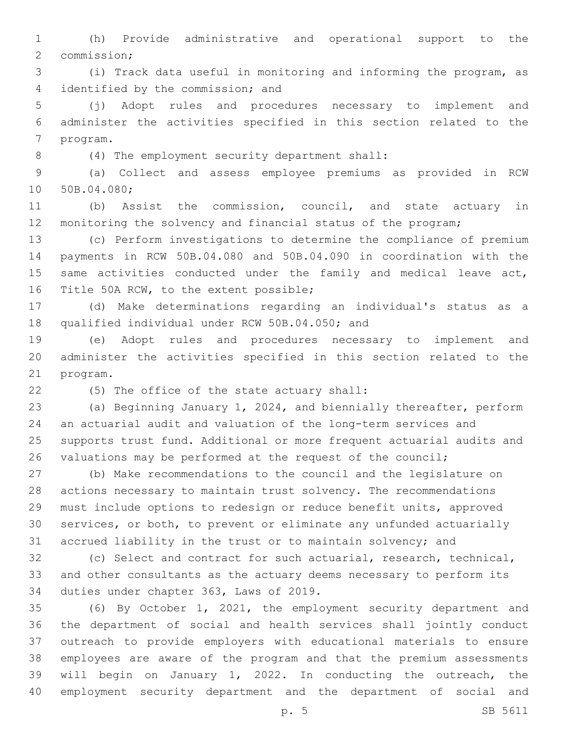(h) Provide administrative and operational support to the 2 commission;

 (i) Track data useful in monitoring and informing the program, as 4 identified by the commission; and

 (j) Adopt rules and procedures necessary to implement and administer the activities specified in this section related to the 7 program.

(4) The employment security department shall:8

 (a) Collect and assess employee premiums as provided in RCW 10 50B.04.080;

 (b) Assist the commission, council, and state actuary in monitoring the solvency and financial status of the program;

 (c) Perform investigations to determine the compliance of premium payments in RCW 50B.04.080 and 50B.04.090 in coordination with the 15 same activities conducted under the family and medical leave act, 16 Title 50A RCW, to the extent possible;

 (d) Make determinations regarding an individual's status as a 18 qualified individual under RCW 50B.04.050; and

 (e) Adopt rules and procedures necessary to implement and administer the activities specified in this section related to the 21 program.

(5) The office of the state actuary shall:22

 (a) Beginning January 1, 2024, and biennially thereafter, perform an actuarial audit and valuation of the long-term services and supports trust fund. Additional or more frequent actuarial audits and valuations may be performed at the request of the council;

 (b) Make recommendations to the council and the legislature on actions necessary to maintain trust solvency. The recommendations must include options to redesign or reduce benefit units, approved services, or both, to prevent or eliminate any unfunded actuarially accrued liability in the trust or to maintain solvency; and

 (c) Select and contract for such actuarial, research, technical, and other consultants as the actuary deems necessary to perform its 34 duties under chapter 363, Laws of 2019.

 (6) By October 1, 2021, the employment security department and the department of social and health services shall jointly conduct outreach to provide employers with educational materials to ensure employees are aware of the program and that the premium assessments will begin on January 1, 2022. In conducting the outreach, the employment security department and the department of social and

p. 5 SB 5611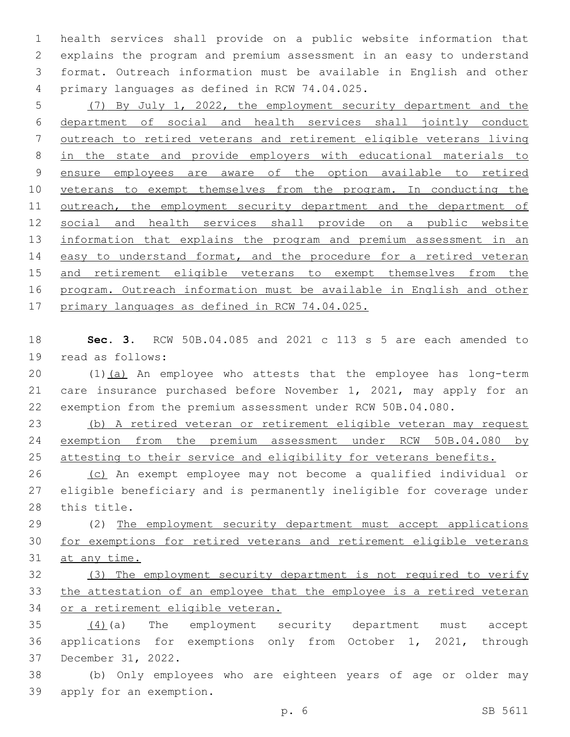health services shall provide on a public website information that explains the program and premium assessment in an easy to understand format. Outreach information must be available in English and other primary languages as defined in RCW 74.04.025.4

 (7) By July 1, 2022, the employment security department and the department of social and health services shall jointly conduct outreach to retired veterans and retirement eligible veterans living in the state and provide employers with educational materials to ensure employees are aware of the option available to retired veterans to exempt themselves from the program. In conducting the outreach, the employment security department and the department of social and health services shall provide on a public website 13 information that explains the program and premium assessment in an 14 easy to understand format, and the procedure for a retired veteran and retirement eligible veterans to exempt themselves from the program. Outreach information must be available in English and other primary languages as defined in RCW 74.04.025.

 **Sec. 3.** RCW 50B.04.085 and 2021 c 113 s 5 are each amended to 19 read as follows:

20 (1)(a) An employee who attests that the employee has long-term care insurance purchased before November 1, 2021, may apply for an exemption from the premium assessment under RCW 50B.04.080.

 (b) A retired veteran or retirement eligible veteran may request 24 exemption from the premium assessment under RCW 50B.04.080 by 25 attesting to their service and eligibility for veterans benefits.

 (c) An exempt employee may not become a qualified individual or eligible beneficiary and is permanently ineligible for coverage under 28 this title.

 (2) The employment security department must accept applications for exemptions for retired veterans and retirement eligible veterans 31 at any time.

 (3) The employment security department is not required to verify the attestation of an employee that the employee is a retired veteran or a retirement eligible veteran.

 (4)(a) The employment security department must accept applications for exemptions only from October 1, 2021, through 37 December 31, 2022.

 (b) Only employees who are eighteen years of age or older may 39 apply for an exemption.